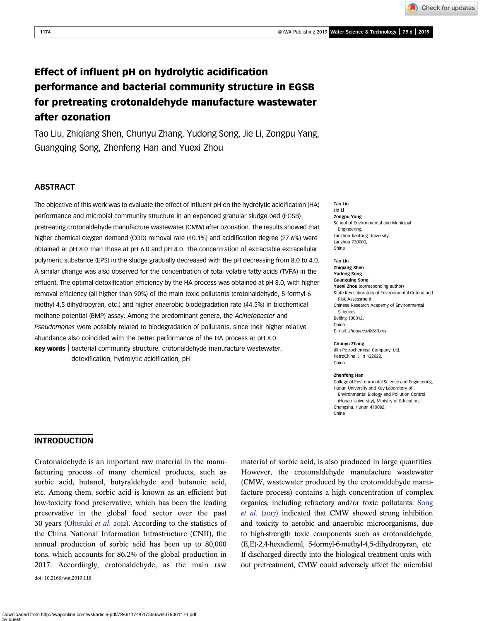Check for updates

# Effect of influent pH on hydrolytic acidification performance and bacterial community structure in EGSB for pretreating crotonaldehyde manufacture wastewater after ozonation

Tao Liu, Zhiqiang Shen, Chunyu Zhang, Yudong Song, Jie Li, Zongpu Yang, Guangqing Song, Zhenfeng Han and Yuexi Zhou

# **ABSTRACT**

The objective of this work was to evaluate the effect of influent pH on the hydrolytic acidification (HA) performance and microbial community structure in an expanded granular sludge bed (EGSB) pretreating crotonaldehyde manufacture wastewater (CMW) after ozonation. The results showed that higher chemical oxygen demand (COD) removal rate (40.1%) and acidification degree (27.6%) were obtained at pH 8.0 than those at pH 6.0 and pH 4.0. The concentration of extractable extracellular polymeric substance (EPS) in the sludge gradually decreased with the pH decreasing from 8.0 to 4.0. A similar change was also observed for the concentration of total volatile fatty acids (TVFA) in the effluent. The optimal detoxification efficiency by the HA process was obtained at pH 8.0, with higher removal efficiency (all higher than 90%) of the main toxic pollutants (crotonaldehyde, 5-formyl-6 methyl-4,5-dihydropyran, etc.) and higher anaerobic biodegradation rate (44.5%) in biochemical methane potential (BMP) assay. Among the predominant genera, the Acinetobacter and Pseudomonas were possibly related to biodegradation of pollutants, since their higher relative abundance also coincided with the better performance of the HA process at pH 8.0. Key words | bacterial community structure, crotonaldehyde manufacture wastewater,

detoxification, hydrolytic acidification, pH

#### Tao Liu Jie Li Zongpu Yang School of Environmental and Municipal Engineering, Lanzhou Jiaotong University, Lanzhou 730000, China

#### Tao Liu

Zhiqiang Shen Yudong Song Guangqing Song Yuexi Zhou (corresponding author) State Key Laboratory of Environmental Criteria and Risk Assessment, Chinese Research Academy of Environmental Sciences, Beijing 100012, China E-mail: [zhouyuexi@263.net](mailto:zhouyuexi@263.net)

#### Chunyu Zhang

Jilin Petrochemical Company, Ltd, PetroChina, Jilin 132022, China

#### Zhenfeng Han

College of Environmental Science and Engineering, Hunan University and Key Laboratory of Environmental Biology and Pollution Control (Hunan University), Ministry of Education, Changsha, Hunan 410082, China

## INTRODUCTION

Crotonaldehyde is an important raw material in the manufacturing process of many chemical products, such as sorbic acid, butanol, butyraldehyde and butanoic acid, etc. Among them, sorbic acid is known as an efficient but low-toxicity food preservative, which has been the leading preservative in the global food sector over the past 30 years ([Ohtsuki](#page-8-0) et al. 2012). According to the statistics of the China National Information Infrastructure (CNII), the annual production of sorbic acid has been up to 80,000 tons, which accounts for 86.2% of the global production in 2017. Accordingly, crotonaldehyde, as the main raw

doi: 10.2166/wst.2019.118

material of sorbic acid, is also produced in large quantities. However, the crotonaldehyde manufacture wastewater (CMW, wastewater produced by the crotonaldehyde manufacture process) contains a high concentration of complex organics, including refractory and/or toxic pollutants. [Song](#page-9-0) [et al.](#page-9-0)  $(2017)$  indicated that CMW showed strong inhibition and toxicity to aerobic and anaerobic microorganisms, due to high-strength toxic components such as crotonaldehyde, (E,E)-2,4-hexadienal, 5-formyl-6-methyl-4,5-dihydropyran, etc. If discharged directly into the biological treatment units without pretreatment, CMW could adversely affect the microbial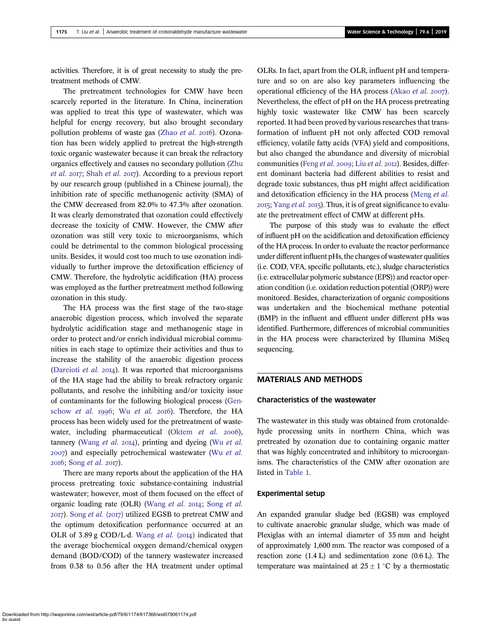activities. Therefore, it is of great necessity to study the pretreatment methods of CMW.

The pretreatment technologies for CMW have been scarcely reported in the literature. In China, incineration was applied to treat this type of wastewater, which was helpful for energy recovery, but also brought secondary pollution problems of waste gas ([Zhao](#page-9-0) et al. 2016). Ozonation has been widely applied to pretreat the high-strength toxic organic wastewater because it can break the refractory organics effectively and causes no secondary pollution [\(Zhu](#page-9-0) *[et al.](#page-9-0)* 2017; [Shah](#page-9-0) *et al.* 2017). According to a previous report by our research group (published in a Chinese journal), the inhibition rate of specific methanogenic activity (SMA) of the CMW decreased from 82.0% to 47.3% after ozonation. It was clearly demonstrated that ozonation could effectively decrease the toxicity of CMW. However, the CMW after ozonation was still very toxic to microorganisms, which could be detrimental to the common biological processing units. Besides, it would cost too much to use ozonation individually to further improve the detoxification efficiency of CMW. Therefore, the hydrolytic acidification (HA) process was employed as the further pretreatment method following ozonation in this study.

The HA process was the first stage of the two-stage anaerobic digestion process, which involved the separate hydrolytic acidification stage and methanogenic stage in order to protect and/or enrich individual microbial communities in each stage to optimize their activities and thus to increase the stability of the anaerobic digestion process [\(Dareioti](#page-7-0) et al.  $2014$ ). It was reported that microorganisms of the HA stage had the ability to break refractory organic pollutants, and resolve the inhibiting and/or toxicity issue of contaminants for the following biological process [\(Gen](#page-8-0)[schow](#page-8-0) [et al.](#page-9-0) 1996; Wu et al. 2016). Therefore, the HA process has been widely used for the pretreatment of waste-water, including pharmaceutical ([Oktem](#page-8-0)  $et$   $al$ . 2006), tannery ([Wang](#page-9-0) [et al.](#page-9-0)  $20I4$ ), printing and dyeing (Wu et al. 2007) and especially petrochemical wastewater (Wu [et al.](#page-9-0)  $2016$ ; [Song](#page-9-0) *et al.*  $2017$ ).

There are many reports about the application of the HA process pretreating toxic substance-containing industrial wastewater; however, most of them focused on the effect of organic loading rate (OLR) ([Wang](#page-9-0) [et al.](#page-9-0) 2014; Song et al.  $2017$ ). [Song](#page-9-0) *et al.* ( $2017$ ) utilized EGSB to pretreat CMW and the optimum detoxification performance occurred at an OLR of 3.89 g COD/L $\cdot$ d. [Wang](#page-9-0) *et al.* (2014) indicated that the average biochemical oxygen demand/chemical oxygen demand (BOD/COD) of the tannery wastewater increased from 0.38 to 0.56 after the HA treatment under optimal

OLRs. In fact, apart from the OLR, influent pH and temperature and so on are also key parameters influencing the operational efficiency of the HA process ([Akao](#page-7-0) et al. 2007). Nevertheless, the effect of pH on the HA process pretreating highly toxic wastewater like CMW has been scarcely reported. It had been proved by various researches that transformation of influent pH not only affected COD removal efficiency, volatile fatty acids (VFA) yield and compositions, but also changed the abundance and diversity of microbial communities [\(Feng](#page-8-0) [et al.](#page-8-0) 2009; Liu et al. 2012). Besides, different dominant bacteria had different abilities to resist and degrade toxic substances, thus pH might affect acidification and detoxification efficiency in the HA process [\(Meng](#page-8-0) et al.  $2015$ ; [Yang](#page-9-0) *et al.*  $2015$ ). Thus, it is of great significance to evaluate the pretreatment effect of CMW at different pHs.

The purpose of this study was to evaluate the effect of influent pH on the acidification and detoxification efficiency of the HA process. In order to evaluate the reactor performance under different influent pHs, the changes of wastewater qualities (i.e. COD, VFA, specific pollutants, etc.), sludge characteristics (i.e. extracellular polymeric substance (EPS)) and reactor operation condition (i.e. oxidation reduction potential (ORP)) were monitored. Besides, characterization of organic compositions was undertaken and the biochemical methane potential (BMP) in the influent and effluent under different pHs was identified. Furthermore, differences of microbial communities in the HA process were characterized by Illumina MiSeq sequencing.

# MATERIALS AND METHODS

#### Characteristics of the wastewater

The wastewater in this study was obtained from crotonaldehyde processing units in northern China, which was pretreated by ozonation due to containing organic matter that was highly concentrated and inhibitory to microorganisms. The characteristics of the CMW after ozonation are listed in [Table 1.](#page-2-0)

### Experimental setup

An expanded granular sludge bed (EGSB) was employed to cultivate anaerobic granular sludge, which was made of Plexiglas with an internal diameter of 35 mm and height of approximately 1,600 mm. The reactor was composed of a reaction zone (1.4 L) and sedimentation zone (0.6 L). The temperature was maintained at  $25 \pm 1$  °C by a thermostatic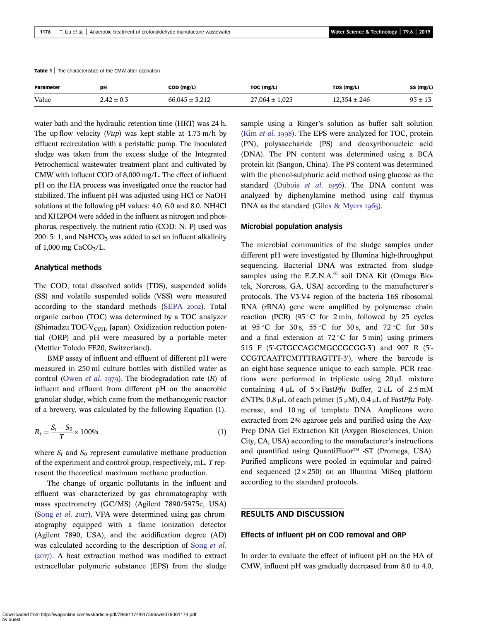<span id="page-2-0"></span>Table 1 | The characteristics of the CMW after ozonation

| Parameter | DН             | COD (mg/L)         | TOC (mg/L)         | TDS (mg/L)       | SS (mg/L)   |
|-----------|----------------|--------------------|--------------------|------------------|-------------|
| Value     | $2.42 \pm 0.3$ | $66,045 \pm 3,212$ | $27,064 \pm 1,023$ | $12.354 \pm 246$ | $95 \pm 13$ |

water bath and the hydraulic retention time (HRT) was 24 h. The up-flow velocity  $(Vup)$  was kept stable at 1.73 m/h by effluent recirculation with a peristaltic pump. The inoculated sludge was taken from the excess sludge of the Integrated Petrochemical wastewater treatment plant and cultivated by CMW with influent COD of 8,000 mg/L. The effect of influent pH on the HA process was investigated once the reactor had stabilized. The influent pH was adjusted using HCl or NaOH solutions at the following pH values: 4.0, 6.0 and 8.0. NH4Cl and KH2PO4 were added in the influent as nitrogen and phosphorus, respectively, the nutrient ratio (COD: N: P) used was 200: 5: 1, and NaHCO<sub>3</sub> was added to set an influent alkalinity of  $1,000$  mg CaCO<sub>3</sub>/L.

#### Analytical methods

The COD, total dissolved solids (TDS), suspended solids (SS) and volatile suspended solids (VSS) were measured according to the standard methods [\(SEPA](#page-9-0) 2002). Total organic carbon (TOC) was determined by a TOC analyzer (Shimadzu TOC-V<sub>CPH</sub>, Japan). Oxidization reduction potential (ORP) and pH were measured by a portable meter (Mettler Toledo FE20, Switzerland).

BMP assay of influent and effluent of different pH were measured in 250 ml culture bottles with distilled water as control [\(Owen](#page-8-0) *et al.* 1979). The biodegradation rate  $(R)$  of influent and effluent from different pH on the anaerobic granular sludge, which came from the methanogenic reactor of a brewery, was calculated by the following Equation (1).

$$
R_i = \frac{S_i - S_0}{T} \times 100\%
$$
 (1)

where  $S_i$  and  $S_0$  represent cumulative methane production of the experiment and control group, respectively, mL. T represent the theoretical maximum methane production.

The change of organic pollutants in the influent and effluent was characterized by gas chromatography with mass spectrometry (GC/MS) (Agilent 7890/5975c, USA) (Song *[et al.](#page-9-0)* 2017). VFA were determined using gas chromatography equipped with a flame ionization detector (Agilent 7890, USA), and the acidification degree (AD) was calculated according to the description of [Song](#page-9-0) et al.  $(2017)$ . A heat extraction method was modified to extract extracellular polymeric substance (EPS) from the sludge sample using a Ringer's solution as buffer salt solution (Kim [et al.](#page-8-0) 1998). The EPS were analyzed for TOC, protein (PN), polysaccharide (PS) and deoxyribonucleic acid (DNA). The PN content was determined using a BCA protein kit (Sangon, China). The PS content was determined with the phenol-sulphuric acid method using glucose as the standard [\(Dubois](#page-8-0) et al. 1956). The DNA content was analyzed by diphenylamine method using calf thymus DNA as the standard [\(Giles & Myers](#page-8-0)  $1965$ ).

#### Microbial population analysis

The microbial communities of the sludge samples under different pH were investigated by Illumina high-throughput sequencing. Bacterial DNA was extracted from sludge samples using the E.Z.N.A.® soil DNA Kit (Omega Biotek, Norcross, GA, USA) according to the manufacturer's protocols. The V3-V4 region of the bacteria 16S ribosomal RNA (rRNA) gene were amplified by polymerase chain reaction (PCR) (95 $\degree$ C for 2 min, followed by 25 cycles at  $95^{\circ}$ C for  $30 \text{ s}$ ,  $55^{\circ}$ C for  $30 \text{ s}$ , and  $72^{\circ}$ C for  $30 \text{ s}$ and a final extension at  $72^{\circ}$ C for 5 min) using primers 515 F  $(5'$ -GTGCCAGCMGCCGCGG-3') and 907 R  $(5'$ -CCGTCAATTCMTTTRAGTTT-3'), where the barcode is an eight-base sequence unique to each sample. PCR reactions were performed in triplicate using 20 μL mixture containing  $4 \mu L$  of  $5 \times$  FastPfu Buffer,  $2 \mu L$  of  $2.5 \text{ mM}$ dNTPs, 0.8 μL of each primer (5 μM), 0.4 μL of FastPfu Polymerase, and 10 ng of template DNA. Amplicons were extracted from 2% agarose gels and purified using the Axy-Prep DNA Gel Extraction Kit (Axygen Biosciences, Union City, CA, USA) according to the manufacturer's instructions and quantified using QuantiFluor™ -ST (Promega, USA). Purified amplicons were pooled in equimolar and pairedend sequenced  $(2 \times 250)$  on an Illumina MiSeq platform according to the standard protocols.

## RESULTS AND DISCUSSION

# Effects of influent pH on COD removal and ORP

In order to evaluate the effect of influent pH on the HA of CMW, influent pH was gradually decreased from 8.0 to 4.0,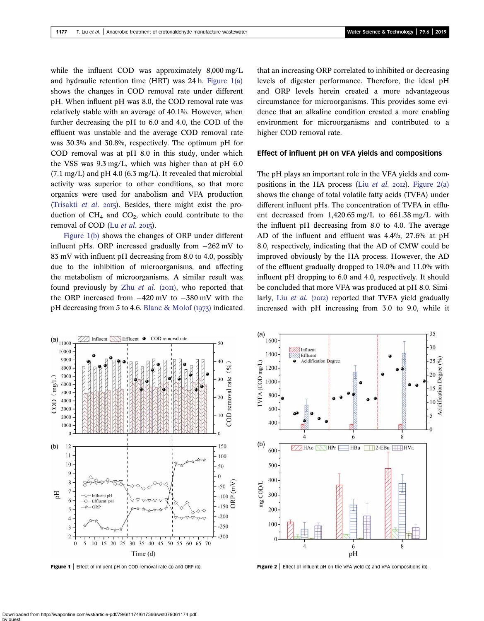<span id="page-3-0"></span>while the influent COD was approximately 8,000 mg/L and hydraulic retention time (HRT) was 24 h. Figure 1(a) shows the changes in COD removal rate under different pH. When influent pH was 8.0, the COD removal rate was relatively stable with an average of 40.1%. However, when further decreasing the pH to 6.0 and 4.0, the COD of the effluent was unstable and the average COD removal rate was 30.3% and 30.8%, respectively. The optimum pH for COD removal was at pH 8.0 in this study, under which the VSS was 9.3 mg/L, which was higher than at pH 6.0  $(7.1 \text{ mg/L})$  and pH 4.0  $(6.3 \text{ mg/L})$ . It revealed that microbial activity was superior to other conditions, so that more organics were used for anabolism and VFA production [\(Trisakti](#page-9-0) et al.  $2015$ ). Besides, there might exist the production of  $CH_4$  and  $CO_2$ , which could contribute to the removal of COD (Lu  $et$  al. 2015).

Figure 1(b) shows the changes of ORP under different influent pHs. ORP increased gradually from  $-262$  mV to 83 mV with influent pH decreasing from 8.0 to 4.0, possibly due to the inhibition of microorganisms, and affecting the metabolism of microorganisms. A similar result was found previously by Zhu *[et al.](#page-9-0)* ( $20\text{H}$ ), who reported that the ORP increased from  $-420$  mV to  $-380$  mV with the pH decreasing from 5 to 4.6. Blanc & Molof  $(i973)$  indicated that an increasing ORP correlated to inhibited or decreasing levels of digester performance. Therefore, the ideal pH and ORP levels herein created a more advantageous circumstance for microorganisms. This provides some evidence that an alkaline condition created a more enabling environment for microorganisms and contributed to a higher COD removal rate.

#### Effect of influent pH on VFA yields and compositions

The pH plays an important role in the VFA yields and compositions in the HA process (Liu *[et al.](#page-8-0)* 2012). Figure 2(a) shows the change of total volatile fatty acids (TVFA) under different influent pHs. The concentration of TVFA in effluent decreased from 1,420.65 mg/L to 661.38 mg/L with the influent pH decreasing from 8.0 to 4.0. The average AD of the influent and effluent was 4.4%, 27.6% at pH 8.0, respectively, indicating that the AD of CMW could be improved obviously by the HA process. However, the AD of the effluent gradually dropped to 19.0% and 11.0% with influent pH dropping to 6.0 and 4.0, respectively. It should be concluded that more VFA was produced at pH 8.0. Similarly, Liu [et al.](#page-8-0) (2012) reported that TVFA yield gradually increased with pH increasing from 3.0 to 9.0, while it



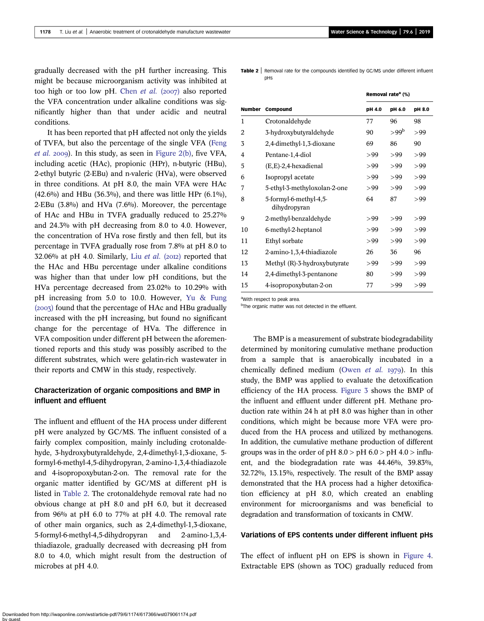gradually decreased with the pH further increasing. This might be because microorganism activity was inhibited at too high or too low pH. [Chen](#page-7-0) et al.  $(2007)$  also reported the VFA concentration under alkaline conditions was significantly higher than that under acidic and neutral conditions.

It has been reported that pH affected not only the yields of TVFA, but also the percentage of the single VFA ([Feng](#page-8-0) *[et al.](#page-8-0)* 2009). In this study, as seen in [Figure 2\(b\)](#page-3-0), five VFA, including acetic (HAc), propionic (HPr), n-butyric (HBu), 2-ethyl butyric (2-EBu) and n-valeric (HVa), were observed in three conditions. At pH 8.0, the main VFA were HAc  $(42.6\%)$  and HBu  $(36.3\%)$ , and there was little HPr  $(6.1\%)$ , 2-EBu (3.8%) and HVa (7.6%). Moreover, the percentage of HAc and HBu in TVFA gradually reduced to 25.27% and 24.3% with pH decreasing from 8.0 to 4.0. However, the concentration of HVa rose firstly and then fell, but its percentage in TVFA gradually rose from 7.8% at pH 8.0 to 32.06% at pH 4.0. Similarly, Liu [et al.](#page-8-0)  $(2012)$  reported that the HAc and HBu percentage under alkaline conditions was higher than that under low pH conditions, but the HVa percentage decreased from 23.02% to 10.29% with pH increasing from 5.0 to 10.0. However, [Yu & Fung](#page-9-0)  $(2007)$  found that the percentage of HAc and HBu gradually increased with the pH increasing, but found no significant change for the percentage of HVa. The difference in VFA composition under different pH between the aforementioned reports and this study was possibly ascribed to the different substrates, which were gelatin-rich wastewater in their reports and CMW in this study, respectively.

# Characterization of organic compositions and BMP in influent and effluent

The influent and effluent of the HA process under different pH were analyzed by GC/MS. The influent consisted of a fairly complex composition, mainly including crotonaldehyde, 3-hydroxybutyraldehyde, 2,4-dimethyl-1,3-dioxane, 5 formyl-6-methyl-4,5-dihydropyran, 2-amino-1,3,4-thiadiazole and 4-isopropoxybutan-2-on. The removal rate for the organic matter identified by GC/MS at different pH is listed in Table 2. The crotonaldehyde removal rate had no obvious change at pH 8.0 and pH 6.0, but it decreased from 96% at pH 6.0 to 77% at pH 4.0. The removal rate of other main organics, such as 2,4-dimethyl-1,3-dioxane, 5-formyl-6-methyl-4,5-dihydropyran and 2-amino-1,3,4 thiadiazole, gradually decreased with decreasing pH from 8.0 to 4.0, which might result from the destruction of microbes at pH 4.0.

**Table 2** Removal rate for the compounds identified by GC/MS under different influent pHs

|               |                                        | Removal rate <sup>a</sup> (%) |                  |        |
|---------------|----------------------------------------|-------------------------------|------------------|--------|
| <b>Number</b> | Compound                               | pH 4.0                        | pH 6.0           | pH 8.0 |
| 1             | Crotonaldehyde                         | 77                            | 96               | 98     |
| 2             | 3-hydroxybutyraldehyde                 | 90                            | >99 <sup>b</sup> | >99    |
| 3             | 2,4-dimethyl-1,3-dioxane               | 69                            | 86               | 90     |
| 4             | Pentane-1,4-diol                       | >99                           | >99              | >99    |
| 5             | $(E,E)$ -2,4-hexadienal                | >99                           | >99              | >99    |
| 6             | Isopropyl acetate                      | >99                           | >99              | >99    |
| 7             | 5-ethyl-3-methyloxolan-2-one           | >99                           | >99              | >99    |
| 8             | 5-formyl-6-methyl-4,5-<br>dihydropyran | 64                            | 87               | >99    |
| 9             | 2-methyl-benzaldehyde                  | >99                           | >99              | >99    |
| 10            | 6-methyl-2-heptanol                    | >99                           | >99              | >99    |
| 11            | Ethyl sorbate                          | >99                           | >99              | >99    |
| 12            | 2-amino-1,3,4-thiadiazole              | 26                            | 36               | 96     |
| 13            | Methyl (R)-3-hydroxybutyrate           | >99                           | >99              | >99    |
| 14            | 2,4-dimethyl-3-pentanone               | 80                            | >99              | >99    |
| 15            | 4-isopropoxybutan-2-on                 | 77                            | >99              | >99    |

a With respect to peak area.

<sup>b</sup>The organic matter was not detected in the effluent.

The BMP is a measurement of substrate biodegradability determined by monitoring cumulative methane production from a sample that is anaerobically incubated in a chemically defined medium [\(Owen](#page-8-0) et al. 1979). In this study, the BMP was applied to evaluate the detoxification efficiency of the HA process. [Figure 3](#page-5-0) shows the BMP of the influent and effluent under different pH. Methane production rate within 24 h at pH 8.0 was higher than in other conditions, which might be because more VFA were produced from the HA process and utilized by methanogens. In addition, the cumulative methane production of different groups was in the order of pH  $8.0 > pH 6.0 > pH 4.0 > influ$ ent, and the biodegradation rate was 44.46%, 39.83%, 32.72%, 13.15%, respectively. The result of the BMP assay demonstrated that the HA process had a higher detoxification efficiency at pH 8.0, which created an enabling environment for microorganisms and was beneficial to degradation and transformation of toxicants in CMW.

#### Variations of EPS contents under different influent pHs

The effect of influent pH on EPS is shown in [Figure 4](#page-5-0). Extractable EPS (shown as TOC) gradually reduced from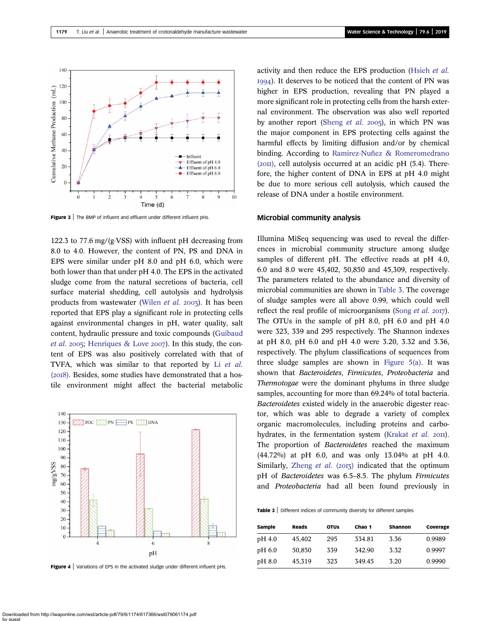<span id="page-5-0"></span>

Figure 3 | The BMP of influent and effluent under different influent pHs.

122.3 to 77.6 mg/(g·VSS) with influent pH decreasing from 8.0 to 4.0. However, the content of PN, PS and DNA in EPS were similar under pH 8.0 and pH 6.0, which were both lower than that under pH 4.0. The EPS in the activated sludge come from the natural secretions of bacteria, cell surface material shedding, cell autolysis and hydrolysis products from wastewater [\(Wilen](#page-9-0)  $et$   $al.$  2003). It has been reported that EPS play a significant role in protecting cells against environmental changes in pH, water quality, salt content, hydraulic pressure and toxic compounds ([Guibaud](#page-8-0) *[et al.](#page-8-0)* 2005; [Henriques & Love](#page-8-0) 2007). In this study, the content of EPS was also positively correlated with that of TVFA, which was similar to that reported by Li [et al.](#page-8-0)  $(2018)$ . Besides, some studies have demonstrated that a hostile environment might affect the bacterial metabolic



Figure 4 | Variations of EPS in the activated sludge under different influent pHs.

activity and then reduce the EPS production [\(Hsieh](#page-8-0) et al. ). It deserves to be noticed that the content of PN was higher in EPS production, revealing that PN played a more significant role in protecting cells from the harsh external environment. The observation was also well reported by another report ([Sheng](#page-9-0) *et al.* 2005), in which PN was the major component in EPS protecting cells against the harmful effects by limiting diffusion and/or by chemical binding. According to [Ramirez-Nuñez & Romeromedrano](#page-8-0)  $(20II)$ , cell autolysis occurred at an acidic pH  $(5.4)$ . Therefore, the higher content of DNA in EPS at pH 4.0 might be due to more serious cell autolysis, which caused the release of DNA under a hostile environment.

#### Microbial community analysis

Illumina MiSeq sequencing was used to reveal the differences in microbial community structure among sludge samples of different pH. The effective reads at pH 4.0, 6.0 and 8.0 were 45,402, 50,850 and 45,309, respectively. The parameters related to the abundance and diversity of microbial communities are shown in Table 3. The coverage of sludge samples were all above 0.99, which could well reflect the real profile of microorganisms ([Song](#page-9-0) *et al.* 2017). The OTUs in the sample of pH 8.0, pH 6.0 and pH 4.0 were 323, 339 and 295 respectively. The Shannon indexes at pH 8.0, pH 6.0 and pH 4.0 were 3.20, 3.32 and 3.36, respectively. The phylum classifications of sequences from three sludge samples are shown in [Figure 5\(a\).](#page-6-0) It was shown that Bacteroidetes, Firmicutes, Proteobacteria and Thermotogae were the dominant phylums in three sludge samples, accounting for more than 69.24% of total bacteria. Bacteroidetes existed widely in the anaerobic digester reactor, which was able to degrade a variety of complex organic macromolecules, including proteins and carbo-hydrates, in the fermentation system ([Krakat](#page-8-0) et al.  $20\text{II}$ ). The proportion of Bacteroidetes reached the maximum (44.72%) at pH 6.0, and was only 13.04% at pH 4.0. Similarly, [Zheng](#page-9-0) et al.  $(2013)$  indicated that the optimum pH of Bacteroidetes was 6.5–8.5. The phylum Firmicutes and Proteobacteria had all been found previously in

Table 3 | Different indices of community diversity for different samples

| Sample | Reads  | <b>OTUS</b> | Chao 1 | <b>Shannon</b> | Coverage |
|--------|--------|-------------|--------|----------------|----------|
| pH 4.0 | 45,402 | 295         | 334.81 | 3.36           | 0.9989   |
| pH 6.0 | 50,850 | 339         | 342.90 | 3.32           | 0.9997   |
| pH 8.0 | 45,319 | 323         | 349.45 | 3.20           | 0.9990   |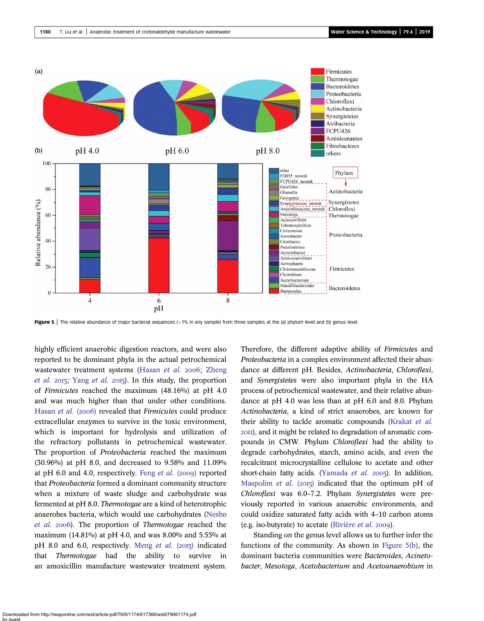<span id="page-6-0"></span>

Figure 5 | The relative abundance of major bacterial sequences (>1% in any sample) from three samples at the (a) phylum level and (b) genus level.

highly efficient anaerobic digestion reactors, and were also reported to be dominant phyla in the actual petrochemical wastewater treatment systems ([Hasan](#page-8-0) et al. 2006; [Zheng](#page-9-0) [et al.](#page-9-0) 2013; [Yang](#page-9-0) et al. 2015). In this study, the proportion of Firmicutes reached the maximum (48.16%) at pH 4.0 and was much higher than that under other conditions. [Hasan](#page-8-0) et al. (2006) revealed that Firmicutes could produce extracellular enzymes to survive in the toxic environment, which is important for hydrolysis and utilization of the refractory pollutants in petrochemical wastewater. The proportion of Proteobacteria reached the maximum (30.96%) at pH 8.0, and decreased to 9.58% and 11.09% at pH 6.0 and 4.0, respectively. Feng [et al.](#page-8-0)  $(2009)$  reported that Proteobacteria formed a dominant community structure when a mixture of waste sludge and carbohydrate was fermented at pH 8.0. Thermotogae are a kind of heterotrophic anaerobes bacteria, which would use carbohydrates ([Nesbø](#page-8-0) [et al.](#page-8-0) 2006). The proportion of Thermotogae reached the maximum (14.81%) at pH 4.0, and was 8.00% and 5.55% at pH 8.0 and 6.0, respectively. [Meng](#page-8-0) et al.  $(2015)$  indicated that Thermotogae had the ability to survive in an amoxicillin manufacture wastewater treatment system. Therefore, the different adaptive ability of *Firmicutes* and Proteobacteria in a complex environment affected their abundance at different pH. Besides, Actinobacteria, Chloroflexi, and Synergistetes were also important phyla in the HA process of petrochemical wastewater, and their relative abundance at pH 4.0 was less than at pH 6.0 and 8.0. Phylum Actinobacteria, a kind of strict anaerobes, are known for their ability to tackle aromatic compounds ([Krakat](#page-8-0) et al. ), and it might be related to degradation of aromatic compounds in CMW. Phylum Chloroflexi had the ability to degrade carbohydrates, starch, amino acids, and even the recalcitrant microcrystalline cellulose to acetate and other short-chain fatty acids. [\(Yamada](#page-9-0) et al. 2005). In addition, [Maspolim](#page-8-0) *et al.* (2015) indicated that the optimum pH of Chloroflexi was 6.0–7.2. Phylum Synergistetes were previously reported in various anaerobic environments, and could oxidize saturated fatty acids with 4–10 carbon atoms (e.g. iso-butyrate) to acetate [\(Rivière](#page-8-0) et al.  $2009$ ).

Standing on the genus level allows us to further infer the functions of the community. As shown in Figure 5(b), the dominant bacteria communities were Bacteroides, Acinetobacter, Mesotoga, Acetobacterium and Acetoanaerobium in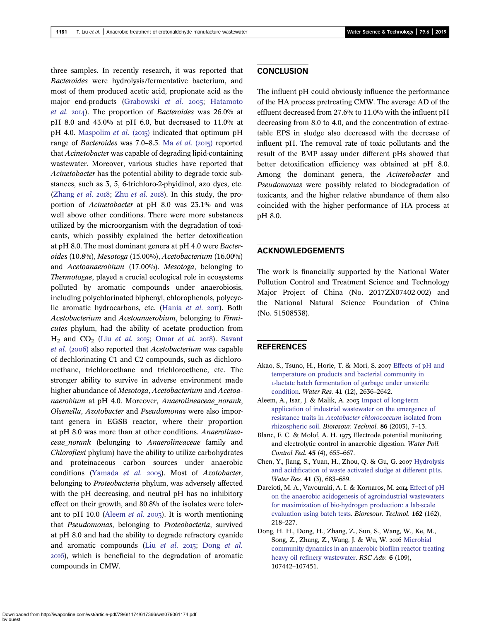<span id="page-7-0"></span>three samples. In recently research, it was reported that Bacteroides were hydrolysis/fermentative bacterium, and most of them produced acetic acid, propionate acid as the major end-products [\(Grabowski](#page-8-0) et al. 2005; [Hatamoto](#page-8-0) [et al.](#page-8-0)  $20I4$ ). The proportion of Bacteroides was  $26.0\%$  at pH 8.0 and 43.0% at pH 6.0, but decreased to 11.0% at pH 4.0. [Maspolim](#page-8-0) *et al.* (2015) indicated that optimum pH range of Bacteroides was 7.0–8.5. Ma [et al.](#page-8-0)  $(2015)$  reported that Acinetobacter was capable of degrading lipid-containing wastewater. Moreover, various studies have reported that Acinetobacter has the potential ability to degrade toxic substances, such as 3, 5, 6-trichloro-2-phyidinol, azo dyes, etc. [\(Zhang](#page-9-0) [et al.](#page-9-0)  $2018$ ; Zhu et al.  $2018$ ). In this study, the proportion of Acinetobacter at pH 8.0 was 23.1% and was well above other conditions. There were more substances utilized by the microorganism with the degradation of toxicants, which possibly explained the better detoxification at pH 8.0. The most dominant genera at pH 4.0 were Bacteroides (10.8%), Mesotoga (15.00%), Acetobacterium (16.00%) and Acetoanaerobium (17.00%). Mesotoga, belonging to Thermotogae, played a crucial ecological role in ecosystems polluted by aromatic compounds under anaerobiosis, including polychlorinated biphenyl, chlorophenols, polycyc-lic aromatic hydrocarbons, etc. [\(Hania](#page-8-0) et al. 2011). Both Acetobacterium and Acetoanaerobium, belonging to Firmicutes phylum, had the ability of acetate production from  $H<sub>2</sub>$  and  $CO<sub>2</sub>$  (Liu *[et al.](#page-8-0)* 2015; [Omar](#page-8-0) *et al.* 2018). [Savant](#page-8-0) [et al.](#page-8-0) (2006) also reported that Acetobacterium was capable of dechlorinating C1 and C2 compounds, such as dichloromethane, trichloroethane and trichloroethene, etc. The stronger ability to survive in adverse environment made higher abundance of *Mesotoga, Acetobacterium* and *Acetoa*naerobium at pH 4.0. Moreover, Anaerolineaceae norank, Olsenella, Azotobacter and Pseudomonas were also important genera in EGSB reactor, where their proportion at pH 8.0 was more than at other conditions. Anaerolineaceae norank (belonging to Anaerolineaceae family and Chloroflexi phylum) have the ability to utilize carbohydrates and proteinaceous carbon sources under anaerobic conditions ([Yamada](#page-9-0) et al. 2005). Most of Azotobacter, belonging to Proteobacteria phylum, was adversely affected with the pH decreasing, and neutral pH has no inhibitory effect on their growth, and 80.8% of the isolates were tolerant to pH 10.0 (Aleem et al. 2003). It is worth mentioning that Pseudomonas, belonging to Proteobacteria, survived at pH 8.0 and had the ability to degrade refractory cyanide and aromatic compounds (Liu [et al.](#page-8-0)  $2015$ ; Dong et al. ), which is beneficial to the degradation of aromatic compounds in CMW.

### **CONCLUSION**

The influent pH could obviously influence the performance of the HA process pretreating CMW. The average AD of the effluent decreased from 27.6% to 11.0% with the influent pH decreasing from 8.0 to 4.0, and the concentration of extractable EPS in sludge also decreased with the decrease of influent pH. The removal rate of toxic pollutants and the result of the BMP assay under different pHs showed that better detoxification efficiency was obtained at pH 8.0. Among the dominant genera, the Acinetobacter and Pseudomonas were possibly related to biodegradation of toxicants, and the higher relative abundance of them also coincided with the higher performance of HA process at pH 8.0.

## ACKNOWLEDGEMENTS

The work is financially supported by the National Water Pollution Control and Treatment Science and Technology Major Project of China (No. 2017ZX07402-002) and the National Natural Science Foundation of China (No. 51508538).

#### **REFERENCES**

- Akao, S., Tsuno, H., Horie, T. & Mori, S. 2007 [Effects of pH and](http://dx.doi.org/10.1016/j.watres.2007.02.032) [temperature on products and bacterial community in](http://dx.doi.org/10.1016/j.watres.2007.02.032) [L-lactate batch fermentation of garbage under unsterile](http://dx.doi.org/10.1016/j.watres.2007.02.032) [condition](http://dx.doi.org/10.1016/j.watres.2007.02.032). Water Res. 41 (12), 2636–2642.
- Aleem, A., Isar, J. & Malik, A. 2003 [Impact of long-term](http://dx.doi.org/10.1016/S0960-8524(02)00134-7) [application of industrial wastewater on the emergence of](http://dx.doi.org/10.1016/S0960-8524(02)00134-7) resistance traits in [Azotobacter chlorococcum](http://dx.doi.org/10.1016/S0960-8524(02)00134-7) isolated from [rhizospheric soil](http://dx.doi.org/10.1016/S0960-8524(02)00134-7). Bioresour. Technol. 86 (2003), 7–13.
- Blanc, F. C. & Molof, A. H. 1973 Electrode potential monitoring and electrolytic control in anaerobic digestion. Water Poll. Control Fed. 45 (4), 655–667.
- Chen, Y., Jiang, S., Yuan, H., Zhou, Q. & Gu, G. 2007 [Hydrolysis](http://dx.doi.org/10.1016/j.watres.2006.07.030) [and acidification of waste activated sludge at different pHs](http://dx.doi.org/10.1016/j.watres.2006.07.030). Water Res. 41 (3), 683–689.
- Dareioti, M. A., Vavouraki, A. I. & Kornaros, M. 2014 [Effect of pH](http://dx.doi.org/10.1016/j.biortech.2014.03.149) [on the anaerobic acidogenesis of agroindustrial wastewaters](http://dx.doi.org/10.1016/j.biortech.2014.03.149) [for maximization of bio-hydrogen production: a lab-scale](http://dx.doi.org/10.1016/j.biortech.2014.03.149) [evaluation using batch tests.](http://dx.doi.org/10.1016/j.biortech.2014.03.149) Bioresour. Technol. 162 (162), 218–227.
- Dong, H. H., Dong, H., Zhang, Z., Sun, S., Wang, W., Ke, M., Song, Z., Zhang, Z., Wang, J. & Wu, W. 2016 [Microbial](http://dx.doi.org/10.1039/C6RA22469E) [community dynamics in an anaerobic biofilm reactor treating](http://dx.doi.org/10.1039/C6RA22469E) [heavy oil refinery wastewater.](http://dx.doi.org/10.1039/C6RA22469E) RSC Adv. 6 (109), 107442–107451.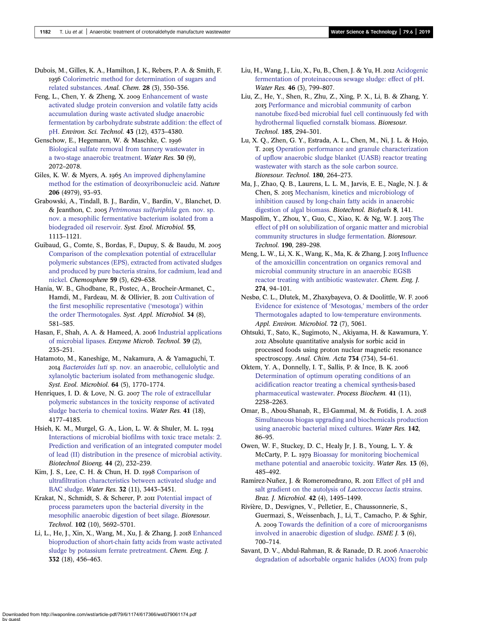<span id="page-8-0"></span>Dubois, M., Gilles, K. A., Hamilton, J. K., Rebers, P. A. & Smith, F. 1956 [Colorimetric method for determination of sugars and](http://dx.doi.org/10.1021/ac60111a017) [related substances.](http://dx.doi.org/10.1021/ac60111a017) Anal. Chem. 28 (3), 350–356.

Feng, L., Chen, Y. & Zheng, X.  $2009$  [Enhancement of waste](http://dx.doi.org/10.1021/es8037142) [activated sludge protein conversion and volatile fatty acids](http://dx.doi.org/10.1021/es8037142) [accumulation during waste activated sludge anaerobic](http://dx.doi.org/10.1021/es8037142) [fermentation by carbohydrate substrate addition: the effect of](http://dx.doi.org/10.1021/es8037142) [pH](http://dx.doi.org/10.1021/es8037142). Environ. Sci. Technol. 43 (12), 4373–4380.

Genschow, E., Hegemann, W. & Maschke, C. [Biological sulfate removal from tannery wastewater in](http://dx.doi.org/10.1016/0043-1354(96)00332-6) [a two-stage anaerobic treatment.](http://dx.doi.org/10.1016/0043-1354(96)00332-6) Water Res. 30 (9), 2072–2078.

Giles, K. W. & Myers, A. 1965 [An improved diphenylamine](http://dx.doi.org/10.1038/206093a0) [method for the estimation of deoxyribonucleic acid](http://dx.doi.org/10.1038/206093a0). Nature 206 (4979), 93–93.

Grabowski, A., Tindall, B. J., Bardin, V., Bardin, V., Blanchet, D. & Jeanthon, C. 2005 [Petrimonas sulfuriphila](http://dx.doi.org/10.1099/ijs.0.63426-0) gen. nov. sp. [nov. a mesophilic fermentative bacterium isolated from a](http://dx.doi.org/10.1099/ijs.0.63426-0) [biodegraded oil reservoir.](http://dx.doi.org/10.1099/ijs.0.63426-0) Syst. Evol. Microbiol. 55, 1113–1121.

Guibaud, G., Comte, S., Bordas, F., Dupuy, S. & Baudu, M. [Comparison of the complexation potential of extracellular](http://dx.doi.org/10.1016/j.chemosphere.2004.10.028) [polymeric substances \(EPS\), extracted from activated sludges](http://dx.doi.org/10.1016/j.chemosphere.2004.10.028) [and produced by pure bacteria strains, for cadmium, lead and](http://dx.doi.org/10.1016/j.chemosphere.2004.10.028) [nickel](http://dx.doi.org/10.1016/j.chemosphere.2004.10.028). Chemosphere 59 (5), 629–638.

Hania, W. B., Ghodbane, R., Postec, A., Brocheir-Armanet, C., Hamdi, M., Fardeau, M. & Ollivier, B. 2011 [Cultivation of](http://dx.doi.org/10.1016/j.syapm.2011.04.001) [the first mesophilic representative \(](http://dx.doi.org/10.1016/j.syapm.2011.04.001)'mesotoga') within [the order Thermotogales.](http://dx.doi.org/10.1016/j.syapm.2011.04.001) Syst. Appl. Microbiol. 34 (8), 581–585.

Hasan, F., Shah, A. A. & Hameed, A. 2006 [Industrial applications](http://dx.doi.org/10.1016/j.enzmictec.2005.10.016) [of microbial lipases.](http://dx.doi.org/10.1016/j.enzmictec.2005.10.016) Enzyme Microb. Technol. 39 (2), 235–251.

Hatamoto, M., Kaneshige, M., Nakamura, A. & Yamaguchi, T. Bacteroides luti [sp. nov. an anaerobic, cellulolytic and](http://dx.doi.org/10.1099/ijs.0.056630-0) [xylanolytic bacterium isolated from methanogenic sludge](http://dx.doi.org/10.1099/ijs.0.056630-0). Syst. Evol. Microbiol. 64 (5), 1770–1774.

Henriques, I. D. & Love, N. G. 2007 [The role of extracellular](http://dx.doi.org/10.1016/j.watres.2007.05.001) [polymeric substances in the toxicity response of activated](http://dx.doi.org/10.1016/j.watres.2007.05.001) [sludge bacteria to chemical toxins.](http://dx.doi.org/10.1016/j.watres.2007.05.001) Water Res. 41 (18), 4177–4185.

Hsieh, K. M., Murgel, G. A., Lion, L. W. & Shuler, M. L. [Interactions of microbial biofilms with toxic trace metals: 2.](http://dx.doi.org/10.1002/bit.260440212) [Prediction and verification of an integrated computer model](http://dx.doi.org/10.1002/bit.260440212) [of lead \(II\) distribution in the presence of microbial activity.](http://dx.doi.org/10.1002/bit.260440212) Biotechnol Bioeng. 44 (2), 232–239.

Kim, J. S., Lee, C. H. & Chun, H. D. 1998 [Comparison of](http://dx.doi.org/10.1016/S0043-1354(98)00104-3) [ultrafiltration characteristics between activated sludge and](http://dx.doi.org/10.1016/S0043-1354(98)00104-3) [BAC sludge.](http://dx.doi.org/10.1016/S0043-1354(98)00104-3) Water Res. 32 (11), 3443–3451.

Krakat, N., Schmidt, S. & Scherer, P. 2011 [Potential impact of](http://dx.doi.org/10.1016/j.biortech.2011.02.108) [process parameters upon the bacterial diversity in the](http://dx.doi.org/10.1016/j.biortech.2011.02.108) [mesophilic anaerobic digestion of beet silage.](http://dx.doi.org/10.1016/j.biortech.2011.02.108) Bioresour. Technol. 102 (10), 5692–5701.

Li, L., He, J., Xin, X., Wang, M., Xu, J. & Zhang, J. 2018 [Enhanced](http://dx.doi.org/10.1016/j.cej.2017.09.103) [bioproduction of short-chain fatty acids from waste activated](http://dx.doi.org/10.1016/j.cej.2017.09.103) [sludge by potassium ferrate pretreatment](http://dx.doi.org/10.1016/j.cej.2017.09.103). Chem. Eng. J. 332 (18), 456–463.

Liu, H., Wang, J., Liu, X., Fu, B., Chen, J. & Yu, H. 2012 [Acidogenic](http://dx.doi.org/10.1016/j.watres.2011.11.047) [fermentation of proteinaceous sewage sludge: effect of pH.](http://dx.doi.org/10.1016/j.watres.2011.11.047) Water Res. 46 (3), 799–807.

Liu, Z., He, Y., Shen, R., Zhu, Z., Xing, P. X., Li, B. & Zhang, Y. [Performance and microbial community of carbon](http://dx.doi.org/10.1016/j.biortech.2015.03.021) [nanotube fixed-bed microbial fuel cell continuously fed with](http://dx.doi.org/10.1016/j.biortech.2015.03.021) [hydrothermal liquefied cornstalk biomass.](http://dx.doi.org/10.1016/j.biortech.2015.03.021) Bioresour. Technol. 185, 294–301.

Lu, X. Q., Zhen, G. Y., Estrada, A. L., Chen, M., Ni, J. L. & Hojo, T. 2015 [Operation performance and granule characterization](http://dx.doi.org/10.1016/j.biortech.2015.01.010) [of upflow anaerobic sludge blanket \(UASB\) reactor treating](http://dx.doi.org/10.1016/j.biortech.2015.01.010) [wastewater with starch as the sole carbon source](http://dx.doi.org/10.1016/j.biortech.2015.01.010). Bioresour. Technol. 180, 264–273.

Ma, J., Zhao, Q. B., Laurens, L. L. M., Jarvis, E. E., Nagle, N. J. & Chen, S. 2015 [Mechanism, kinetics and microbiology of](http://dx.doi.org/10.1186/s13068-015-0322-z) [inhibition caused by long-chain fatty acids in anaerobic](http://dx.doi.org/10.1186/s13068-015-0322-z) [digestion of algal biomass.](http://dx.doi.org/10.1186/s13068-015-0322-z) Biotechnol. Biofuels 8, 141.

Maspolim, Y., Zhou, Y., Guo, C., Xiao, K. & Ng, W. J. 2015 [The](http://dx.doi.org/10.1016/j.biortech.2015.04.087) [effect of pH on solubilization of organic matter and microbial](http://dx.doi.org/10.1016/j.biortech.2015.04.087) [community structures in sludge fermentation.](http://dx.doi.org/10.1016/j.biortech.2015.04.087) Bioresour. Technol. 190, 289–298.

Meng, L. W., Li, X. K., Wang, K., Ma, K. & Zhang, J. 2015 [Influence](http://dx.doi.org/10.1016/j.cej.2015.03.065) [of the amoxicillin concentration on organics removal and](http://dx.doi.org/10.1016/j.cej.2015.03.065) [microbial community structure in an anaerobic EGSB](http://dx.doi.org/10.1016/j.cej.2015.03.065) [reactor treating with antibiotic wastewater.](http://dx.doi.org/10.1016/j.cej.2015.03.065) Chem. Eng. J. 274, 94–101.

Nesbø, C. L., Dlutek, M., Zhaxybayeva, O. & Doolittle, W. F. [Evidence for existence of](http://dx.doi.org/10.1128/AEM.00342-06) 'Mesotogas,' members of the order [Thermotogales adapted to low-temperature environments](http://dx.doi.org/10.1128/AEM.00342-06). Appl. Environ. Microbiol. 72 (7), 5061.

Ohtsuki, T., Sato, K., Sugimoto, N., Akiyama, H. & Kawamura, Y. Absolute quantitative analysis for sorbic acid in processed foods using proton nuclear magnetic resonance spectroscopy. Anal. Chim. Acta 734 (734), 54-61.

Oktem, Y. A., Donnelly, I. T., Sallis, P. & Ince, B. K. [Determination of optimum operating conditions of an](http://dx.doi.org/10.1016/j.procbio.2006.05.016) [acidification reactor treating a chemical synthesis-based](http://dx.doi.org/10.1016/j.procbio.2006.05.016) [pharmaceutical wastewater.](http://dx.doi.org/10.1016/j.procbio.2006.05.016) Process Biochem. 41 (11), 2258–2263.

Omar, B., Abou-Shanab, R., El-Gammal, M. & Fotidis, I. A. [Simultaneous biogas upgrading and biochemicals production](http://dx.doi.org/10.1016/j.watres.2018.05.049) [using anaerobic bacterial mixed cultures.](http://dx.doi.org/10.1016/j.watres.2018.05.049) Water Res. 142, 86–95.

Owen, W. F., Stuckey, D. C., Healy Jr, J. B., Young, L. Y. & McCarty, P. L. 1979 [Bioassay for monitoring biochemical](http://dx.doi.org/10.1016/0043-1354(79)90043-5) [methane potential and anaerobic toxicity](http://dx.doi.org/10.1016/0043-1354(79)90043-5). Water Res. 13 (6), 485–492.

Ramirez-Nuñez, J. & Romeromedrano, R. 2011 [Effect of pH and](http://dx.doi.org/10.1590/S1517-83822011000400036) [salt gradient on the autolysis of](http://dx.doi.org/10.1590/S1517-83822011000400036) Lactococcus lactis strains. Braz. J. Microbiol. 42 (4), 1495–1499.

Rivière, D., Desvignes, V., Pelletier, E., Chaussonnerie, S., Guermazi, S., Weissenbach, J., Li, T., Camacho, P. & Sghir, A. 2009 [Towards the definition of a core of microorganisms](http://dx.doi.org/10.1038/ismej.2009.2) [involved in anaerobic digestion of sludge](http://dx.doi.org/10.1038/ismej.2009.2). ISME J. 3 (6), 700–714.

Savant, D. V., Abdul-Rahman, R. & Ranade, D. R. 2006 [Anaerobic](http://dx.doi.org/10.1016/j.biortech.2004.12.013) [degradation of adsorbable organic halides \(AOX\) from pulp](http://dx.doi.org/10.1016/j.biortech.2004.12.013)

Downloaded from http://iwaponline.com/wst/article-pdf/79/6/1174/617366/wst079061174.pdf by guest